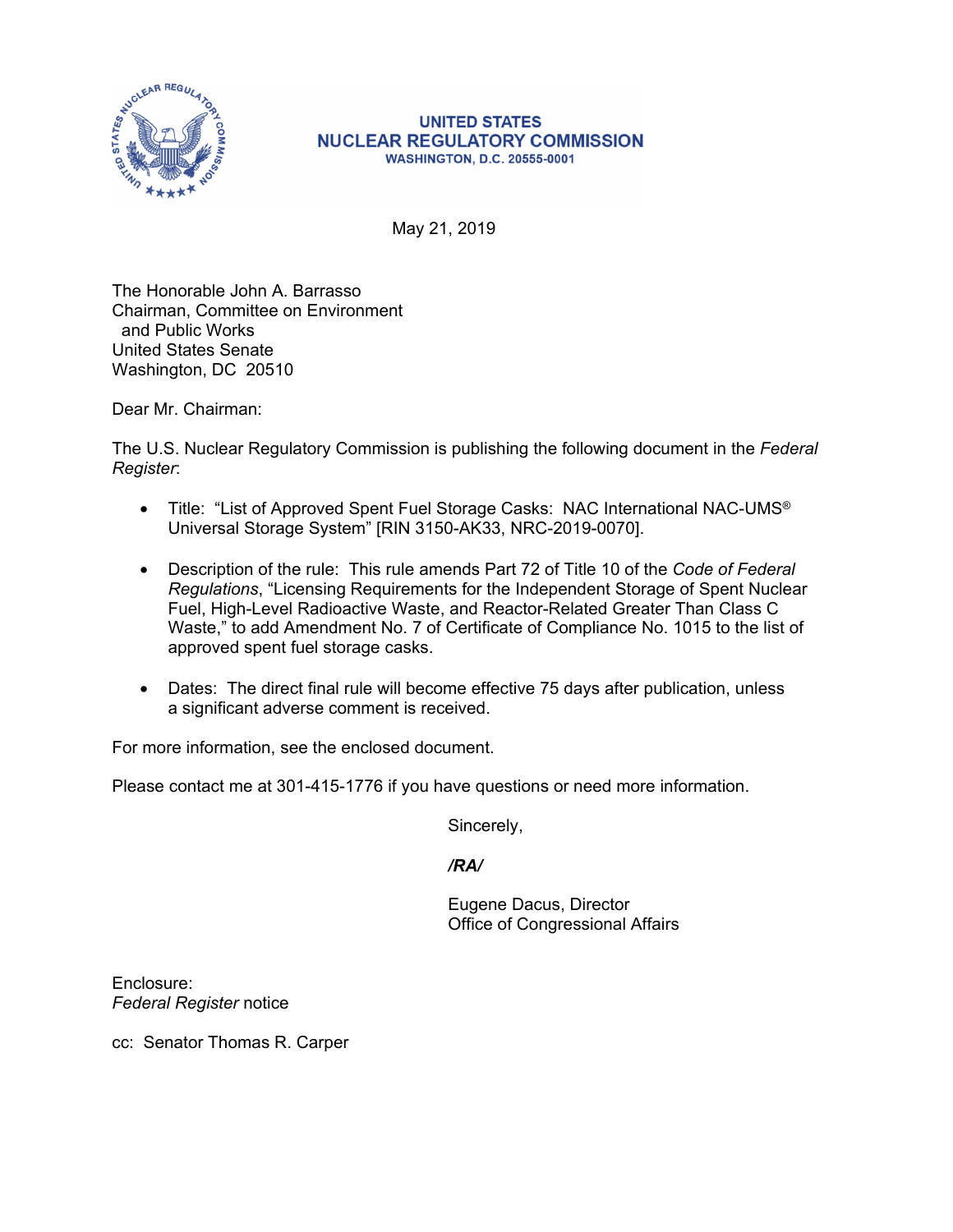

May 21, 2019

The Honorable John A. Barrasso Chairman, Committee on Environment and Public Works United States Senate Washington, DC 20510

Dear Mr. Chairman:

The U.S. Nuclear Regulatory Commission is publishing the following document in the *Federal Register*:

- Title: "List of Approved Spent Fuel Storage Casks: NAC International NAC-UMS® Universal Storage System" [RIN 3150-AK33, NRC-2019-0070].
- Description of the rule: This rule amends Part 72 of Title 10 of the *Code of Federal Regulations*, "Licensing Requirements for the Independent Storage of Spent Nuclear Fuel, High-Level Radioactive Waste, and Reactor-Related Greater Than Class C Waste," to add Amendment No. 7 of Certificate of Compliance No. 1015 to the list of approved spent fuel storage casks.
- Dates: The direct final rule will become effective 75 days after publication, unless a significant adverse comment is received.

For more information, see the enclosed document.

Please contact me at 301-415-1776 if you have questions or need more information.

Sincerely,

*/RA/* 

Eugene Dacus, Director Office of Congressional Affairs

Enclosure: *Federal Register* notice

cc: Senator Thomas R. Carper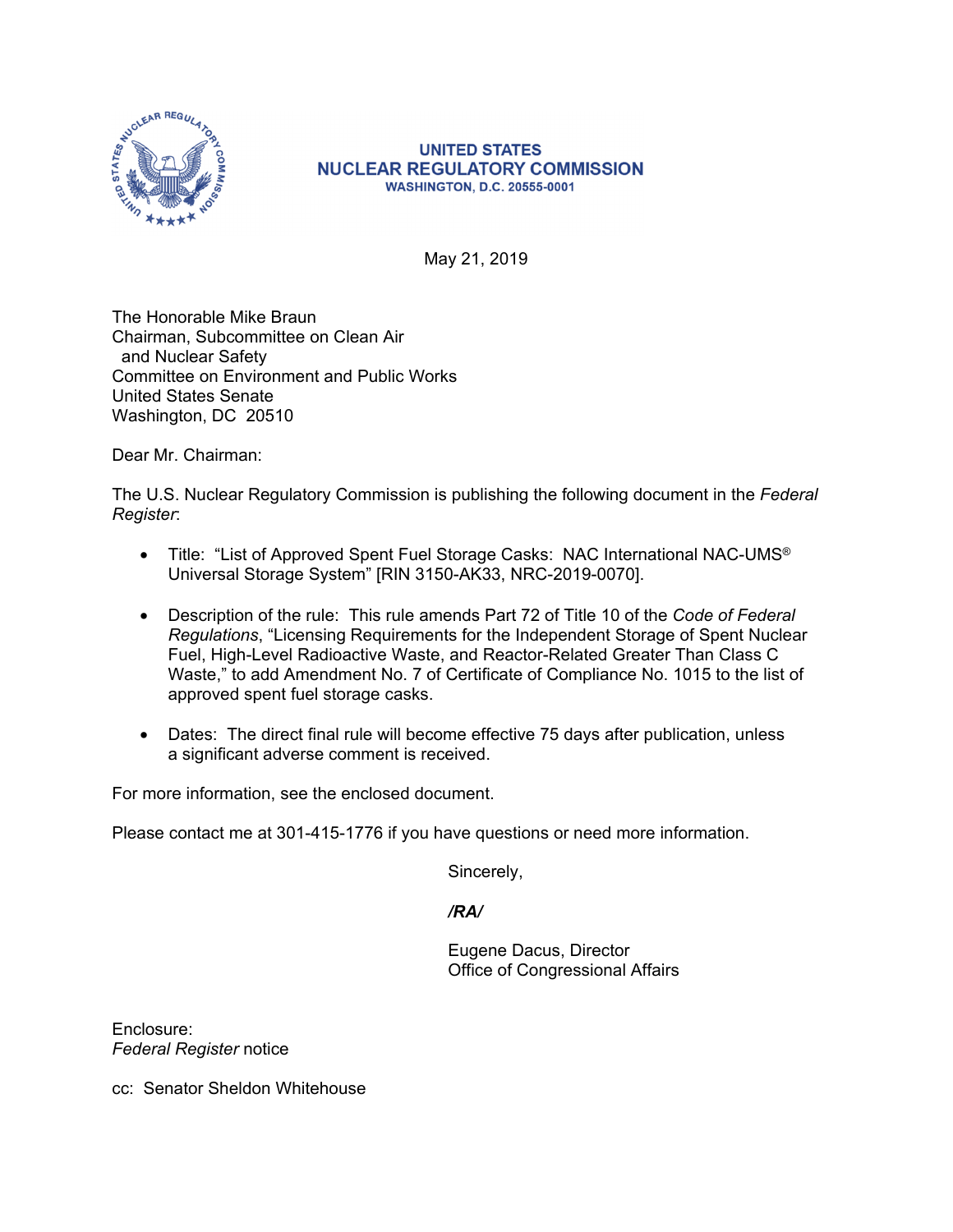

May 21, 2019

The Honorable Mike Braun Chairman, Subcommittee on Clean Air and Nuclear Safety Committee on Environment and Public Works United States Senate Washington, DC 20510

Dear Mr. Chairman:

The U.S. Nuclear Regulatory Commission is publishing the following document in the *Federal Register*:

- Title: "List of Approved Spent Fuel Storage Casks: NAC International NAC-UMS® Universal Storage System" [RIN 3150-AK33, NRC-2019-0070].
- Description of the rule: This rule amends Part 72 of Title 10 of the *Code of Federal Regulations*, "Licensing Requirements for the Independent Storage of Spent Nuclear Fuel, High-Level Radioactive Waste, and Reactor-Related Greater Than Class C Waste," to add Amendment No. 7 of Certificate of Compliance No. 1015 to the list of approved spent fuel storage casks.
- Dates: The direct final rule will become effective 75 days after publication, unless a significant adverse comment is received.

For more information, see the enclosed document.

Please contact me at 301-415-1776 if you have questions or need more information.

Sincerely,

*/RA/* 

Eugene Dacus, Director Office of Congressional Affairs

Enclosure: *Federal Register* notice

cc: Senator Sheldon Whitehouse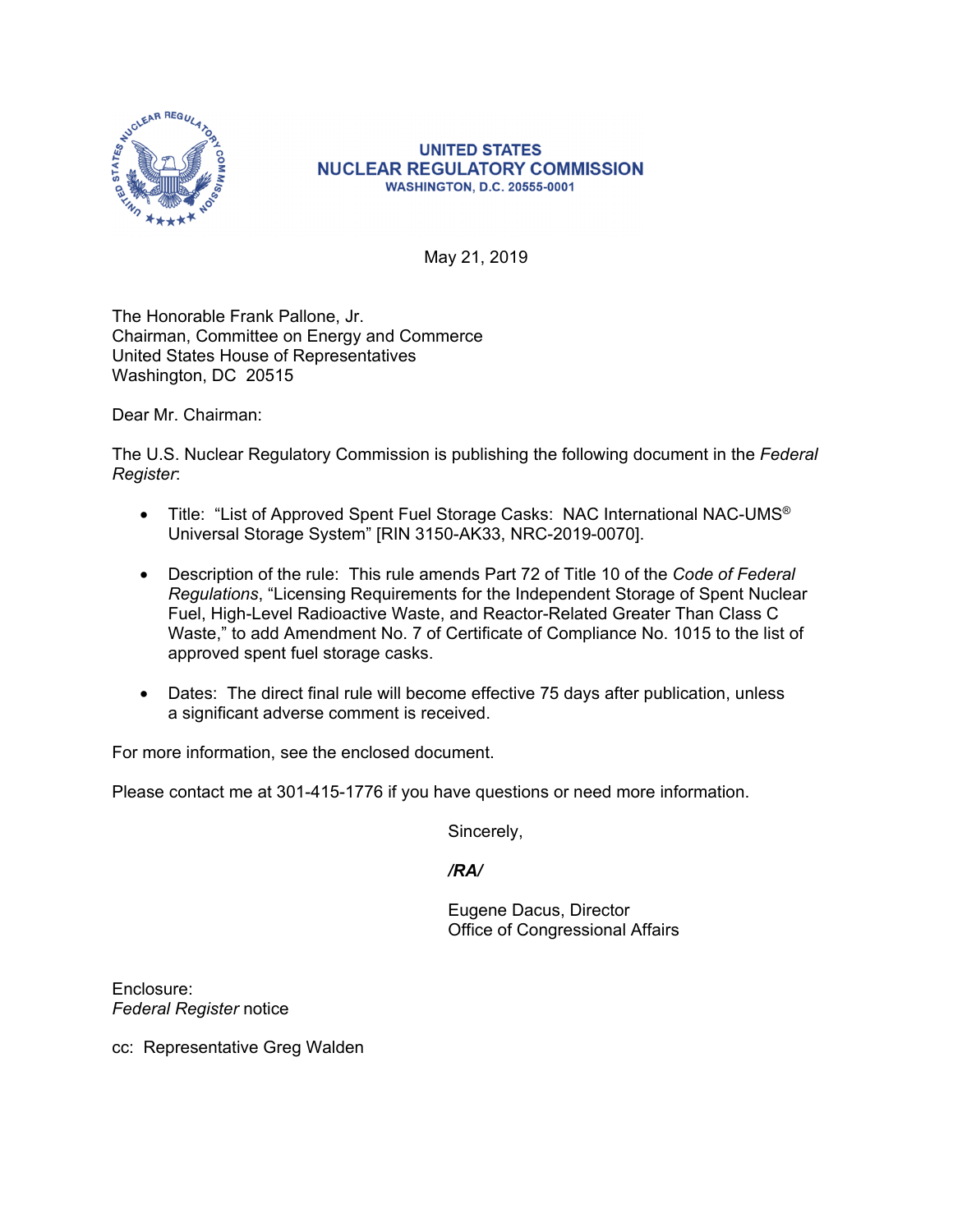

May 21, 2019

The Honorable Frank Pallone, Jr. Chairman, Committee on Energy and Commerce United States House of Representatives Washington, DC 20515

Dear Mr. Chairman:

The U.S. Nuclear Regulatory Commission is publishing the following document in the *Federal Register*:

- Title: "List of Approved Spent Fuel Storage Casks: NAC International NAC-UMS® Universal Storage System" [RIN 3150-AK33, NRC-2019-0070].
- Description of the rule: This rule amends Part 72 of Title 10 of the *Code of Federal Regulations*, "Licensing Requirements for the Independent Storage of Spent Nuclear Fuel, High-Level Radioactive Waste, and Reactor-Related Greater Than Class C Waste," to add Amendment No. 7 of Certificate of Compliance No. 1015 to the list of approved spent fuel storage casks.
- Dates: The direct final rule will become effective 75 days after publication, unless a significant adverse comment is received.

For more information, see the enclosed document.

Please contact me at 301-415-1776 if you have questions or need more information.

Sincerely,

*/RA/* 

Eugene Dacus, Director Office of Congressional Affairs

Enclosure: *Federal Register* notice

cc: Representative Greg Walden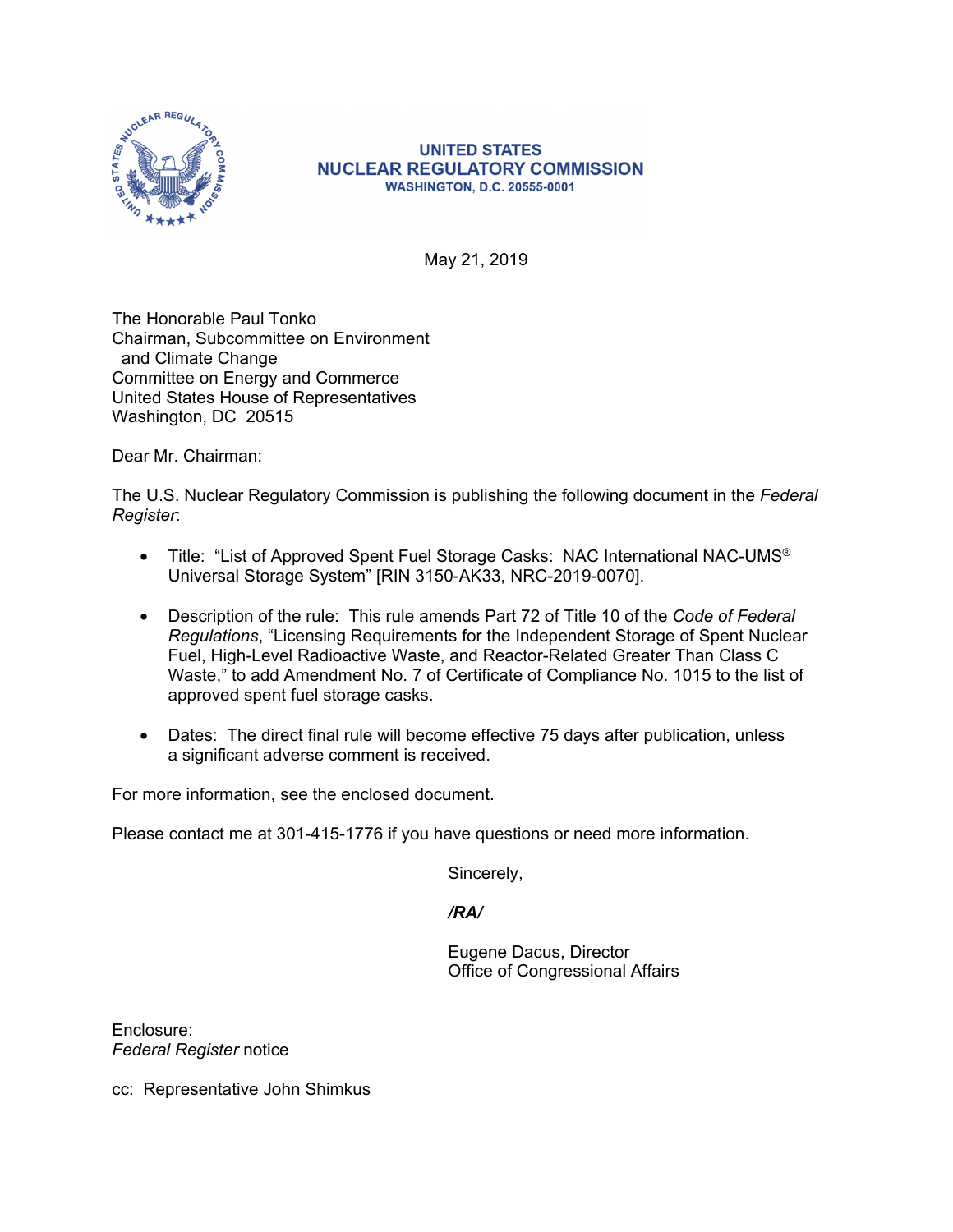

May 21, 2019

The Honorable Paul Tonko Chairman, Subcommittee on Environment and Climate Change Committee on Energy and Commerce United States House of Representatives Washington, DC 20515

Dear Mr. Chairman:

The U.S. Nuclear Regulatory Commission is publishing the following document in the *Federal Register*:

- Title: "List of Approved Spent Fuel Storage Casks: NAC International NAC-UMS® Universal Storage System" [RIN 3150-AK33, NRC-2019-0070].
- Description of the rule: This rule amends Part 72 of Title 10 of the *Code of Federal Regulations*, "Licensing Requirements for the Independent Storage of Spent Nuclear Fuel, High-Level Radioactive Waste, and Reactor-Related Greater Than Class C Waste," to add Amendment No. 7 of Certificate of Compliance No. 1015 to the list of approved spent fuel storage casks.
- Dates: The direct final rule will become effective 75 days after publication, unless a significant adverse comment is received.

For more information, see the enclosed document.

Please contact me at 301-415-1776 if you have questions or need more information.

Sincerely,

*/RA/* 

Eugene Dacus, Director Office of Congressional Affairs

Enclosure: *Federal Register* notice

cc: Representative John Shimkus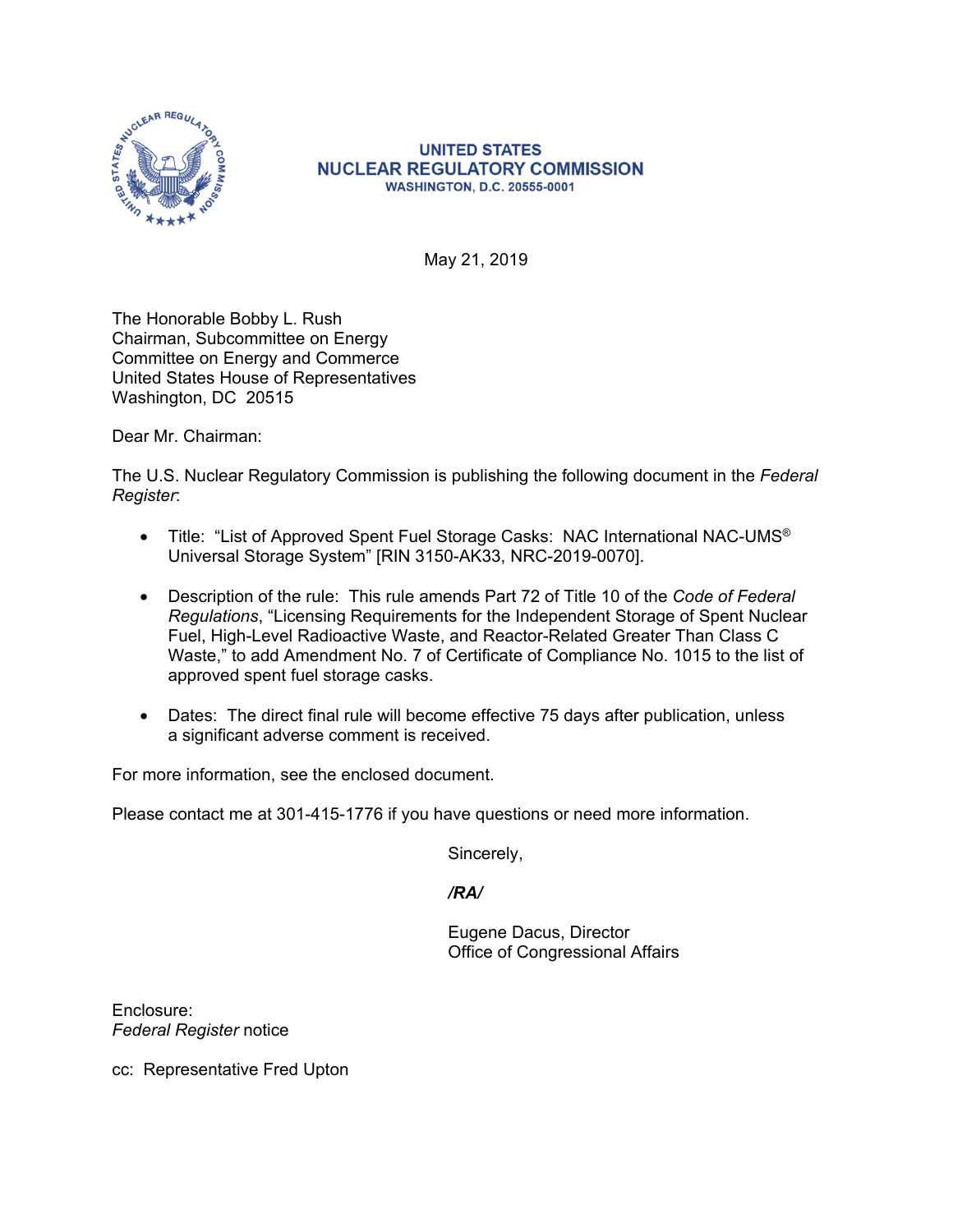

May 21, 2019

The Honorable Bobby L. Rush Chairman, Subcommittee on Energy Committee on Energy and Commerce United States House of Representatives Washington, DC 20515

Dear Mr. Chairman:

The U.S. Nuclear Regulatory Commission is publishing the following document in the *Federal Register*:

- Title: "List of Approved Spent Fuel Storage Casks: NAC International NAC-UMS® Universal Storage System" [RIN 3150-AK33, NRC-2019-0070].
- Description of the rule: This rule amends Part 72 of Title 10 of the *Code of Federal Regulations*, "Licensing Requirements for the Independent Storage of Spent Nuclear Fuel, High-Level Radioactive Waste, and Reactor-Related Greater Than Class C Waste," to add Amendment No. 7 of Certificate of Compliance No. 1015 to the list of approved spent fuel storage casks.
- Dates: The direct final rule will become effective 75 days after publication, unless a significant adverse comment is received.

For more information, see the enclosed document.

Please contact me at 301-415-1776 if you have questions or need more information.

Sincerely,

*/RA/* 

Eugene Dacus, Director Office of Congressional Affairs

Enclosure: *Federal Register* notice

cc: Representative Fred Upton